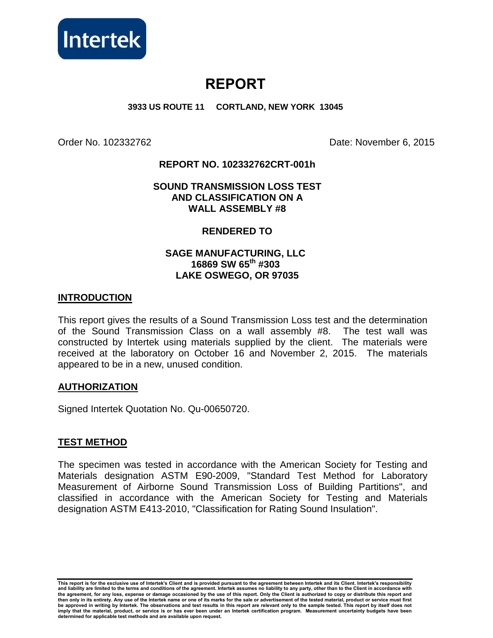

# **REPORT**

**3933 US ROUTE 11 CORTLAND, NEW YORK 13045** 

Order No. 102332762 Date: November 6, 2015

# **REPORT NO. 102332762CRT-001h**

# **SOUND TRANSMISSION LOSS TEST AND CLASSIFICATION ON A WALL ASSEMBLY #8**

# **RENDERED TO**

# **SAGE MANUFACTURING, LLC 16869 SW 65th #303 LAKE OSWEGO, OR 97035**

# **INTRODUCTION**

This report gives the results of a Sound Transmission Loss test and the determination of the Sound Transmission Class on a wall assembly #8. The test wall was constructed by Intertek using materials supplied by the client. The materials were received at the laboratory on October 16 and November 2, 2015. The materials appeared to be in a new, unused condition.

#### **AUTHORIZATION**

Signed Intertek Quotation No. Qu-00650720.

# **TEST METHOD**

The specimen was tested in accordance with the American Society for Testing and Materials designation ASTM E90-2009, "Standard Test Method for Laboratory Measurement of Airborne Sound Transmission Loss of Building Partitions", and classified in accordance with the American Society for Testing and Materials designation ASTM E413-2010, "Classification for Rating Sound Insulation".

**This report is for the exclusive use of Intertek's Client and is provided pursuant to the agreement between Intertek and its Client. Intertek's responsibility**  and liability are limited to the terms and conditions of the agreement. Intertek assumes no liability to any party, other than to the Client in accordance with<br>the agreement, for any loss, expense or damage occasioned by t **then only in its entirety. Any use of the Intertek name or one of its marks for the sale or advertisement of the tested material, product or service must first be approved in writing by Intertek. The observations and test results in this report are relevant only to the sample tested. This report by itself does not imply that the material, product, or service is or has ever been under an Intertek certification program. Measurement uncertainty budgets have been determined for applicable test methods and are available upon request.**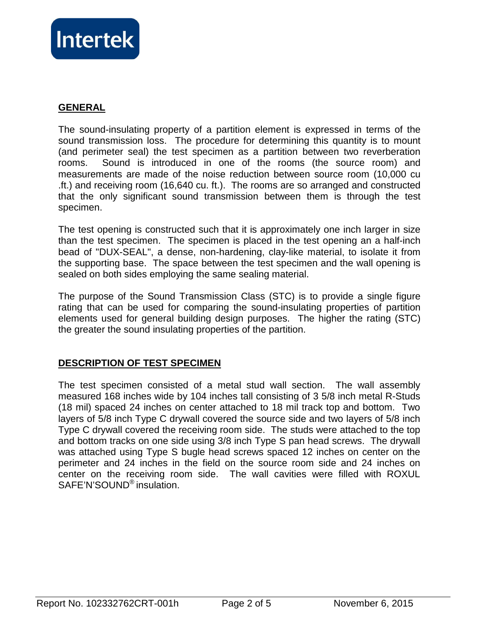

# **GENERAL**

The sound-insulating property of a partition element is expressed in terms of the sound transmission loss. The procedure for determining this quantity is to mount (and perimeter seal) the test specimen as a partition between two reverberation rooms. Sound is introduced in one of the rooms (the source room) and measurements are made of the noise reduction between source room (10,000 cu .ft.) and receiving room (16,640 cu. ft.). The rooms are so arranged and constructed that the only significant sound transmission between them is through the test specimen.

The test opening is constructed such that it is approximately one inch larger in size than the test specimen. The specimen is placed in the test opening an a half-inch bead of "DUX-SEAL", a dense, non-hardening, clay-like material, to isolate it from the supporting base. The space between the test specimen and the wall opening is sealed on both sides employing the same sealing material.

The purpose of the Sound Transmission Class (STC) is to provide a single figure rating that can be used for comparing the sound-insulating properties of partition elements used for general building design purposes. The higher the rating (STC) the greater the sound insulating properties of the partition.

# **DESCRIPTION OF TEST SPECIMEN**

The test specimen consisted of a metal stud wall section. The wall assembly measured 168 inches wide by 104 inches tall consisting of 3 5/8 inch metal R-Studs (18 mil) spaced 24 inches on center attached to 18 mil track top and bottom. Two layers of 5/8 inch Type C drywall covered the source side and two layers of 5/8 inch Type C drywall covered the receiving room side. The studs were attached to the top and bottom tracks on one side using 3/8 inch Type S pan head screws. The drywall was attached using Type S bugle head screws spaced 12 inches on center on the perimeter and 24 inches in the field on the source room side and 24 inches on center on the receiving room side. The wall cavities were filled with ROXUL SAFE'N'SOUND® insulation.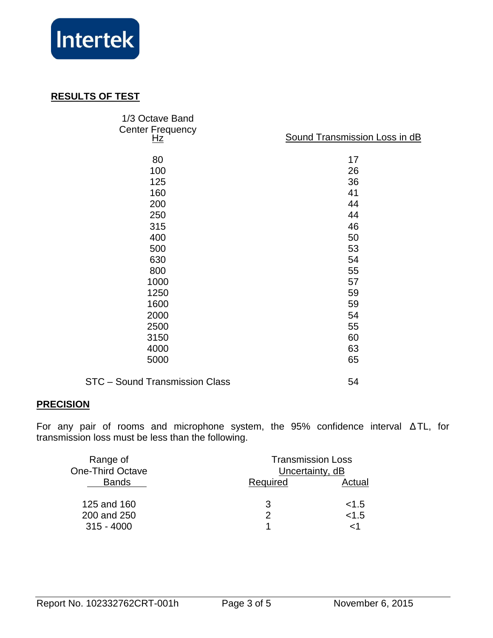

# **RESULTS OF TEST**

| 1/3 Octave Band<br><b>Center Frequency</b><br><u>Hz</u> | Sound Transmission Loss in dB |  |
|---------------------------------------------------------|-------------------------------|--|
| 80                                                      | 17                            |  |
| 100                                                     | 26                            |  |
| 125                                                     | 36                            |  |
| 160                                                     | 41                            |  |
| 200                                                     | 44                            |  |
| 250                                                     | 44                            |  |
| 315                                                     | 46                            |  |
| 400                                                     | 50                            |  |
| 500                                                     | 53                            |  |
| 630                                                     | 54                            |  |
| 800                                                     | 55                            |  |
| 1000                                                    | 57                            |  |
| 1250                                                    | 59                            |  |
| 1600                                                    | 59                            |  |
| 2000                                                    | 54                            |  |
| 2500                                                    | 55                            |  |
| 3150                                                    | 60                            |  |
| 4000                                                    | 63                            |  |
| 5000                                                    | 65                            |  |
| STC - Sound Transmission Class                          | 54                            |  |

# **PRECISION**

For any pair of rooms and microphone system, the 95% confidence interval ∆ TL, for transmission loss must be less than the following.

| Range of<br><b>One-Third Octave</b> | <b>Transmission Loss</b><br>Uncertainty, dB |        |
|-------------------------------------|---------------------------------------------|--------|
| <b>Bands</b>                        | Required                                    | Actual |
| 125 and 160                         | 3                                           | < 1.5  |
| 200 and 250                         | 2                                           | < 1.5  |
| $315 - 4000$                        |                                             | ہ ۔    |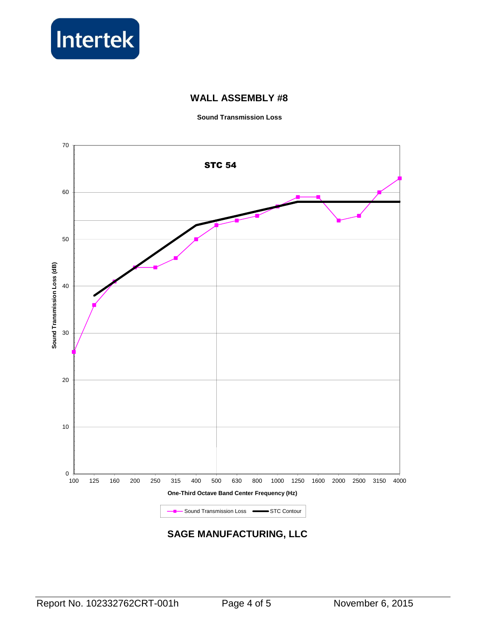

# **WALL ASSEMBLY #8**

**Sound Transmission Loss** 



# **SAGE MANUFACTURING, LLC**